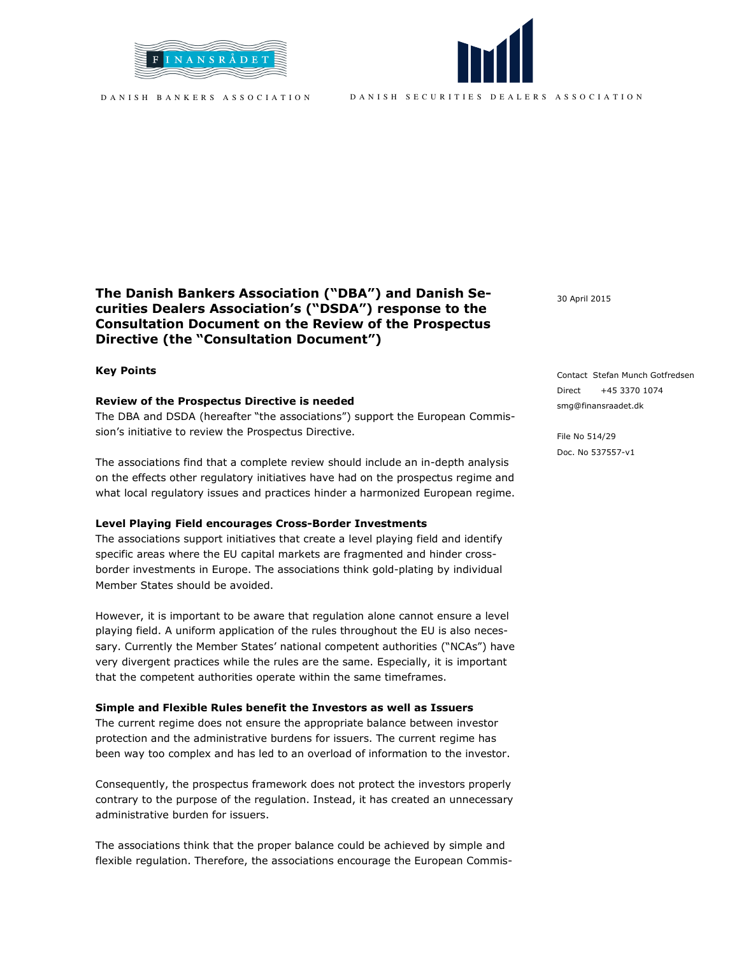



D A N I S H S E C U R I T I E S D E A L E R S A S S O C I A T I O N

# The Danish Bankers Association ("DBA") and Danish Securities Dealers Association's ("DSDA") response to the Consultation Document on the Review of the Prospectus Directive (the "Consultation Document")

### Key Points

### Review of the Prospectus Directive is needed

The DBA and DSDA (hereafter "the associations") support the European Commission's initiative to review the Prospectus Directive.

The associations find that a complete review should include an in-depth analysis on the effects other regulatory initiatives have had on the prospectus regime and what local regulatory issues and practices hinder a harmonized European regime.

### Level Playing Field encourages Cross-Border Investments

The associations support initiatives that create a level playing field and identify specific areas where the EU capital markets are fragmented and hinder crossborder investments in Europe. The associations think gold-plating by individual Member States should be avoided.

However, it is important to be aware that regulation alone cannot ensure a level playing field. A uniform application of the rules throughout the EU is also necessary. Currently the Member States' national competent authorities ("NCAs") have very divergent practices while the rules are the same. Especially, it is important that the competent authorities operate within the same timeframes.

### Simple and Flexible Rules benefit the Investors as well as Issuers

The current regime does not ensure the appropriate balance between investor protection and the administrative burdens for issuers. The current regime has been way too complex and has led to an overload of information to the investor.

Consequently, the prospectus framework does not protect the investors properly contrary to the purpose of the regulation. Instead, it has created an unnecessary administrative burden for issuers.

The associations think that the proper balance could be achieved by simple and flexible regulation. Therefore, the associations encourage the European Commis30 April 2015

Contact Stefan Munch Gotfredsen Direct +45 3370 1074 smg@finansraadet.dk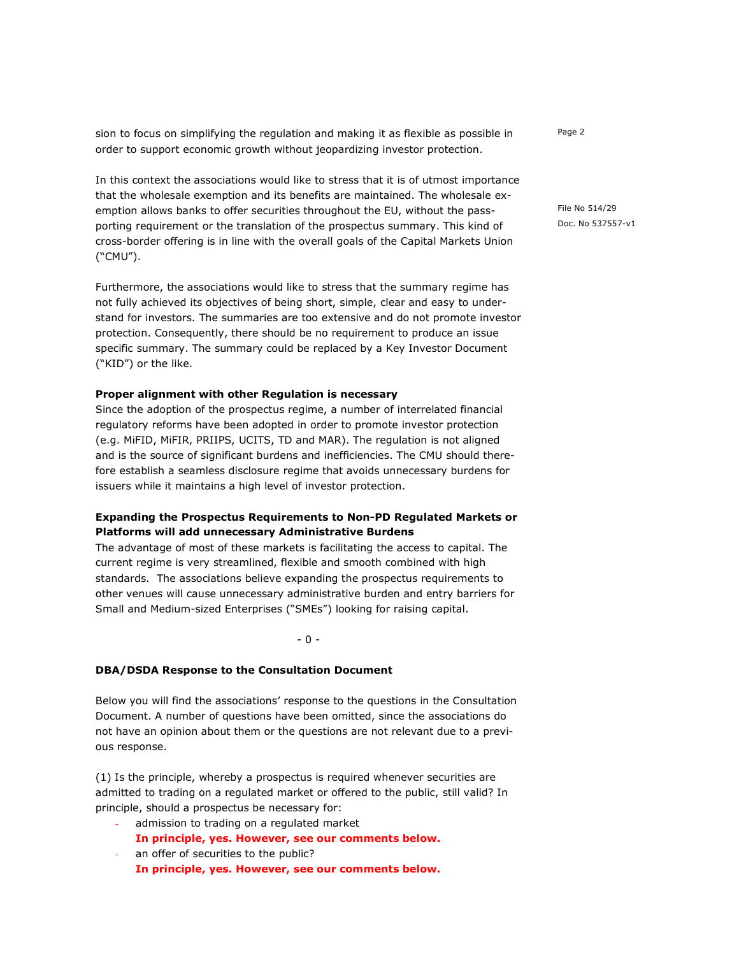sion to focus on simplifying the regulation and making it as flexible as possible in order to support economic growth without jeopardizing investor protection.

In this context the associations would like to stress that it is of utmost importance that the wholesale exemption and its benefits are maintained. The wholesale exemption allows banks to offer securities throughout the EU, without the passporting requirement or the translation of the prospectus summary. This kind of cross-border offering is in line with the overall goals of the Capital Markets Union ("CMU").

Furthermore, the associations would like to stress that the summary regime has not fully achieved its objectives of being short, simple, clear and easy to understand for investors. The summaries are too extensive and do not promote investor protection. Consequently, there should be no requirement to produce an issue specific summary. The summary could be replaced by a Key Investor Document ("KID") or the like.

### Proper alignment with other Regulation is necessary

Since the adoption of the prospectus regime, a number of interrelated financial regulatory reforms have been adopted in order to promote investor protection (e.g. MiFID, MiFIR, PRIIPS, UCITS, TD and MAR). The regulation is not aligned and is the source of significant burdens and inefficiencies. The CMU should therefore establish a seamless disclosure regime that avoids unnecessary burdens for issuers while it maintains a high level of investor protection.

## Expanding the Prospectus Requirements to Non-PD Regulated Markets or Platforms will add unnecessary Administrative Burdens

The advantage of most of these markets is facilitating the access to capital. The current regime is very streamlined, flexible and smooth combined with high standards. The associations believe expanding the prospectus requirements to other venues will cause unnecessary administrative burden and entry barriers for Small and Medium-sized Enterprises ("SMEs") looking for raising capital.

- 0 -

### DBA/DSDA Response to the Consultation Document

Below you will find the associations' response to the questions in the Consultation Document. A number of questions have been omitted, since the associations do not have an opinion about them or the questions are not relevant due to a previous response.

(1) Is the principle, whereby a prospectus is required whenever securities are admitted to trading on a regulated market or offered to the public, still valid? In principle, should a prospectus be necessary for:

- admission to trading on a regulated market
- In principle, yes. However, see our comments below.
- an offer of securities to the public?
- In principle, yes. However, see our comments below.

Page 2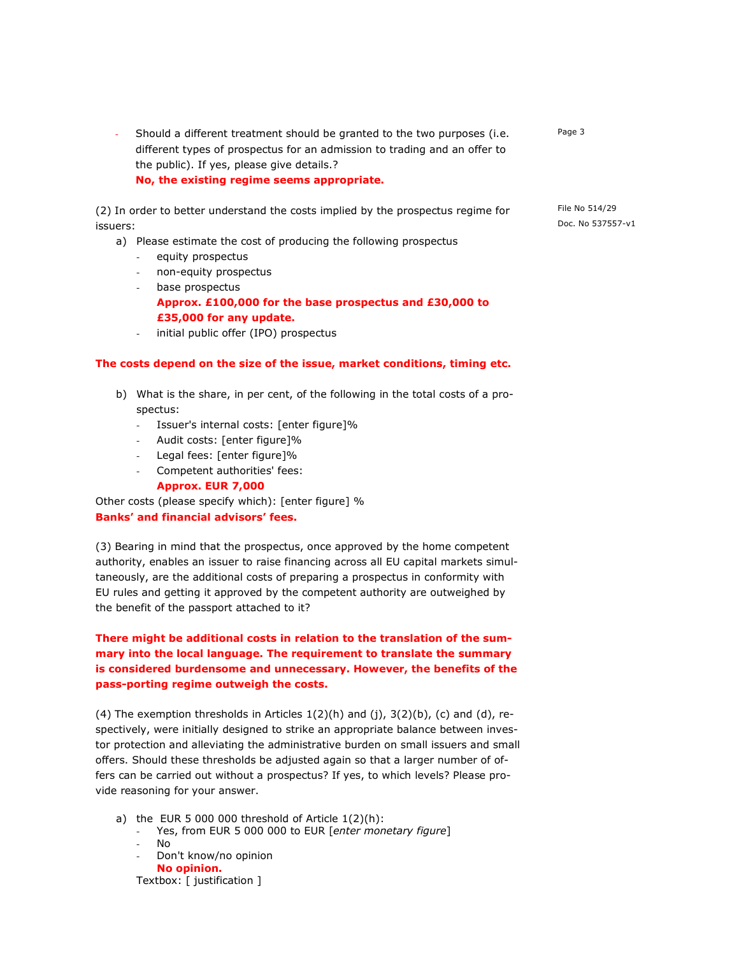Should a different treatment should be granted to the two purposes (i.e. different types of prospectus for an admission to trading and an offer to the public). If yes, please give details.? No, the existing regime seems appropriate.

(2) In order to better understand the costs implied by the prospectus regime for issuers:

- a) Please estimate the cost of producing the following prospectus
	- equity prospectus
	- non-equity prospectus
	- base prospectus Approx. £100,000 for the base prospectus and £30,000 to £35,000 for any update.
	- initial public offer (IPO) prospectus

### The costs depend on the size of the issue, market conditions, timing etc.

- b) What is the share, in per cent, of the following in the total costs of a prospectus:
	- Issuer's internal costs: [enter figure]%
	- Audit costs: [enter figure]%
	- Legal fees: [enter figure]%
	- Competent authorities' fees:

#### Approx. EUR 7,000

Other costs (please specify which): [enter figure] % Banks' and financial advisors' fees.

(3) Bearing in mind that the prospectus, once approved by the home competent authority, enables an issuer to raise financing across all EU capital markets simultaneously, are the additional costs of preparing a prospectus in conformity with EU rules and getting it approved by the competent authority are outweighed by the benefit of the passport attached to it?

There might be additional costs in relation to the translation of the summary into the local language. The requirement to translate the summary is considered burdensome and unnecessary. However, the benefits of the pass-porting regime outweigh the costs.

(4) The exemption thresholds in Articles 1(2)(h) and (j), 3(2)(b), (c) and (d), respectively, were initially designed to strike an appropriate balance between investor protection and alleviating the administrative burden on small issuers and small offers. Should these thresholds be adjusted again so that a larger number of offers can be carried out without a prospectus? If yes, to which levels? Please provide reasoning for your answer.

- a) the EUR 5 000 000 threshold of Article  $1(2)(h)$ :
	- Yes, from EUR 5 000 000 to EUR [enter monetary figure]
		- No
		- Don't know/no opinion No opinion.

Textbox: [ justification ]

Page 3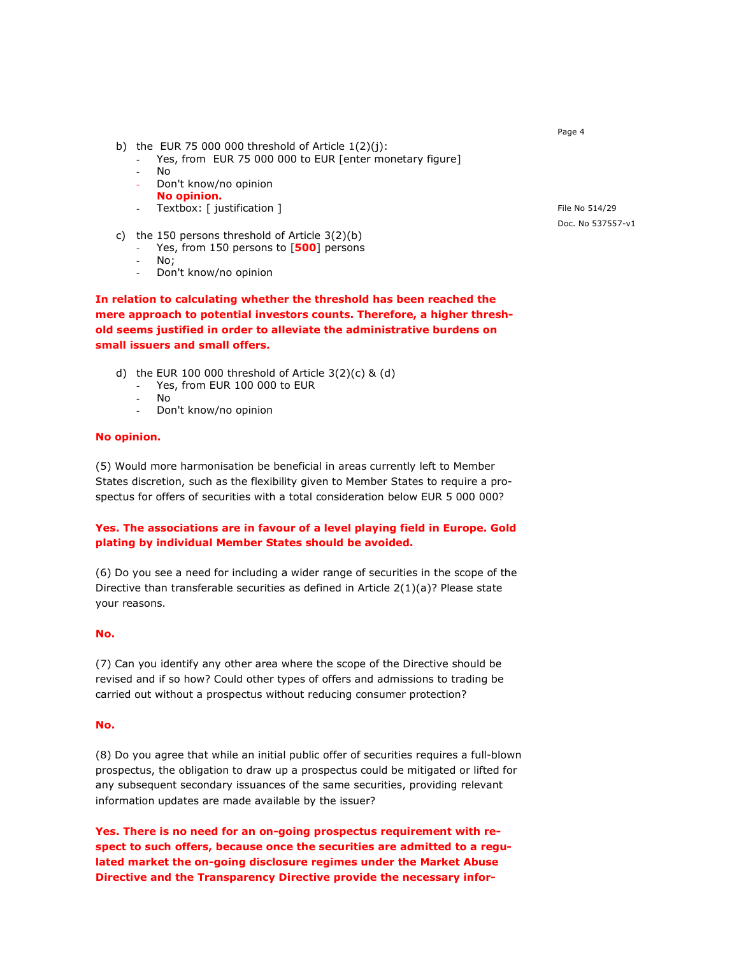- b) the EUR 75 000 000 threshold of Article  $1(2)(i)$ :
	- Yes, from EUR 75 000 000 to EUR [enter monetary figure]
	- No
	- Don't know/no opinion
	- No opinion.
	- Textbox: [ justification ]
- c) the 150 persons threshold of Article 3(2)(b)
	- Yes, from 150 persons to  $[500]$  persons
	- No; Don't know/no opinion

In relation to calculating whether the threshold has been reached the mere approach to potential investors counts. Therefore, a higher threshold seems justified in order to alleviate the administrative burdens on small issuers and small offers.

- d) the EUR 100 000 threshold of Article 3(2)(c) & (d)
	- Yes, from EUR 100 000 to EUR
	- No
	- Don't know/no opinion

# No opinion.

(5) Would more harmonisation be beneficial in areas currently left to Member States discretion, such as the flexibility given to Member States to require a prospectus for offers of securities with a total consideration below EUR 5 000 000?

# Yes. The associations are in favour of a level playing field in Europe. Gold plating by individual Member States should be avoided.

(6) Do you see a need for including a wider range of securities in the scope of the Directive than transferable securities as defined in Article  $2(1)(a)$ ? Please state your reasons.

### No.

(7) Can you identify any other area where the scope of the Directive should be revised and if so how? Could other types of offers and admissions to trading be carried out without a prospectus without reducing consumer protection?

### No.

(8) Do you agree that while an initial public offer of securities requires a full-blown prospectus, the obligation to draw up a prospectus could be mitigated or lifted for any subsequent secondary issuances of the same securities, providing relevant information updates are made available by the issuer?

Yes. There is no need for an on-going prospectus requirement with respect to such offers, because once the securities are admitted to a regulated market the on-going disclosure regimes under the Market Abuse Directive and the Transparency Directive provide the necessary inforFile No 514/29 Doc. No 537557-v1

Page 4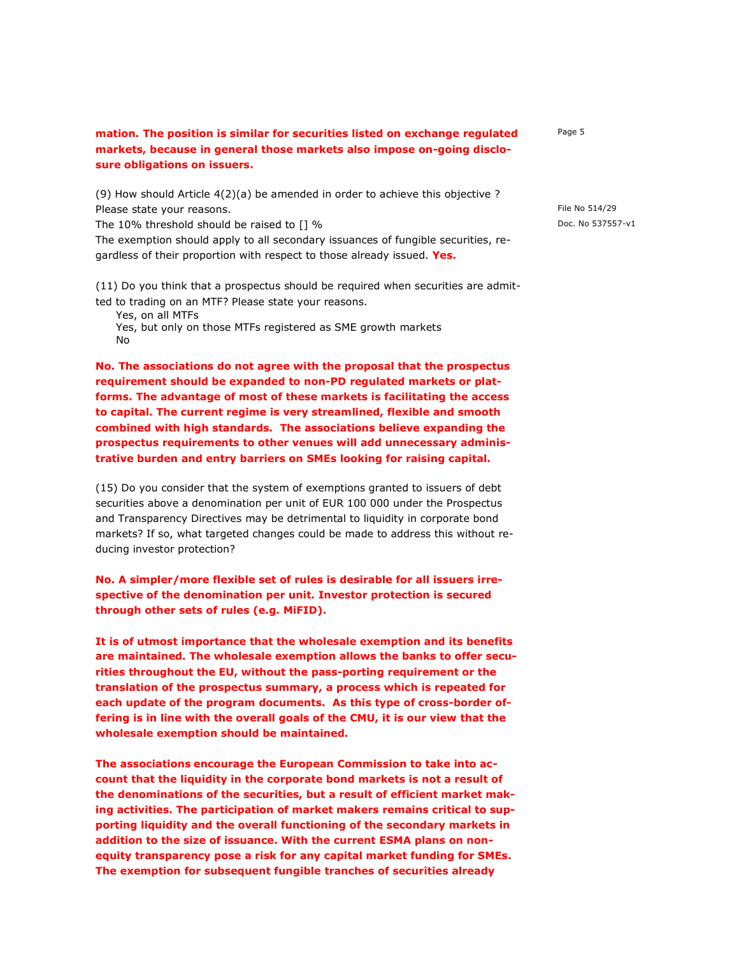# mation. The position is similar for securities listed on exchange regulated markets, because in general those markets also impose on-going disclosure obligations on issuers.

(9) How should Article 4(2)(a) be amended in order to achieve this objective ? Please state your reasons.

The 10% threshold should be raised to [] %

The exemption should apply to all secondary issuances of fungible securities, regardless of their proportion with respect to those already issued. Yes.

(11) Do you think that a prospectus should be required when securities are admitted to trading on an MTF? Please state your reasons.

Yes, on all MTFs

Yes, but only on those MTFs registered as SME growth markets No

No. The associations do not agree with the proposal that the prospectus requirement should be expanded to non-PD regulated markets or platforms. The advantage of most of these markets is facilitating the access to capital. The current regime is very streamlined, flexible and smooth combined with high standards. The associations believe expanding the prospectus requirements to other venues will add unnecessary administrative burden and entry barriers on SMEs looking for raising capital.

(15) Do you consider that the system of exemptions granted to issuers of debt securities above a denomination per unit of EUR 100 000 under the Prospectus and Transparency Directives may be detrimental to liquidity in corporate bond markets? If so, what targeted changes could be made to address this without reducing investor protection?

No. A simpler/more flexible set of rules is desirable for all issuers irrespective of the denomination per unit. Investor protection is secured through other sets of rules (e.g. MiFID).

It is of utmost importance that the wholesale exemption and its benefits are maintained. The wholesale exemption allows the banks to offer securities throughout the EU, without the pass-porting requirement or the translation of the prospectus summary, a process which is repeated for each update of the program documents. As this type of cross-border offering is in line with the overall goals of the CMU, it is our view that the wholesale exemption should be maintained.

The associations encourage the European Commission to take into account that the liquidity in the corporate bond markets is not a result of the denominations of the securities, but a result of efficient market making activities. The participation of market makers remains critical to supporting liquidity and the overall functioning of the secondary markets in addition to the size of issuance. With the current ESMA plans on nonequity transparency pose a risk for any capital market funding for SMEs. The exemption for subsequent fungible tranches of securities already

Page 5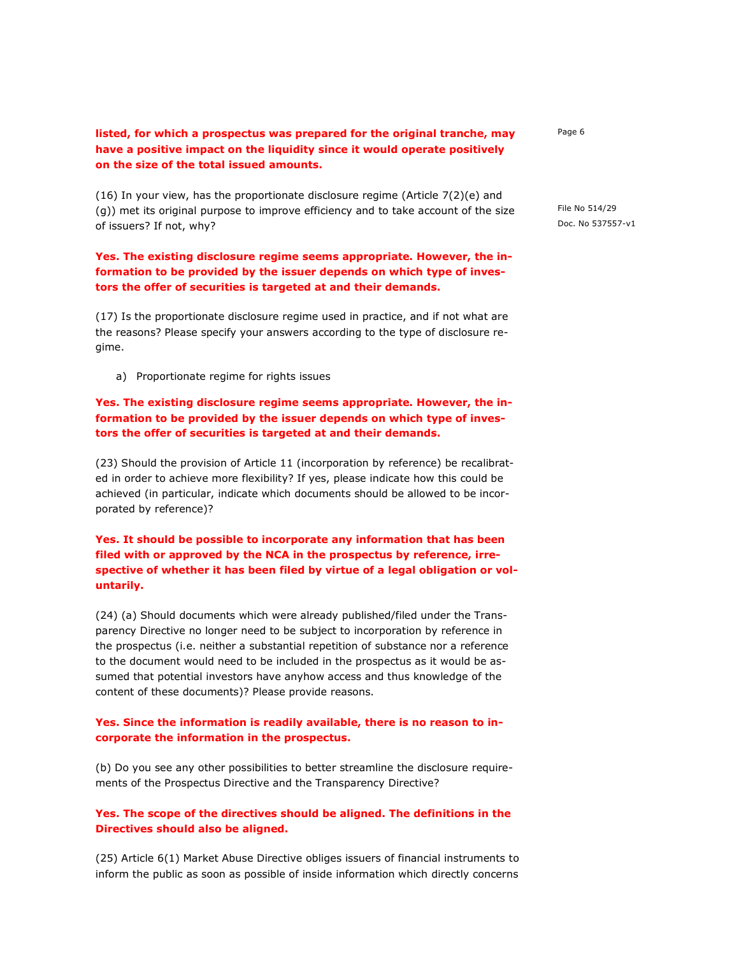# listed, for which a prospectus was prepared for the original tranche, may have a positive impact on the liquidity since it would operate positively on the size of the total issued amounts.

(16) In your view, has the proportionate disclosure regime (Article 7(2)(e) and (g)) met its original purpose to improve efficiency and to take account of the size of issuers? If not, why?

## Yes. The existing disclosure regime seems appropriate. However, the information to be provided by the issuer depends on which type of investors the offer of securities is targeted at and their demands.

(17) Is the proportionate disclosure regime used in practice, and if not what are the reasons? Please specify your answers according to the type of disclosure regime.

a) Proportionate regime for rights issues

# Yes. The existing disclosure regime seems appropriate. However, the information to be provided by the issuer depends on which type of investors the offer of securities is targeted at and their demands.

(23) Should the provision of Article 11 (incorporation by reference) be recalibrated in order to achieve more flexibility? If yes, please indicate how this could be achieved (in particular, indicate which documents should be allowed to be incorporated by reference)?

# Yes. It should be possible to incorporate any information that has been filed with or approved by the NCA in the prospectus by reference, irrespective of whether it has been filed by virtue of a legal obligation or voluntarily.

(24) (a) Should documents which were already published/filed under the Transparency Directive no longer need to be subject to incorporation by reference in the prospectus (i.e. neither a substantial repetition of substance nor a reference to the document would need to be included in the prospectus as it would be assumed that potential investors have anyhow access and thus knowledge of the content of these documents)? Please provide reasons.

### Yes. Since the information is readily available, there is no reason to incorporate the information in the prospectus.

(b) Do you see any other possibilities to better streamline the disclosure requirements of the Prospectus Directive and the Transparency Directive?

### Yes. The scope of the directives should be aligned. The definitions in the Directives should also be aligned.

(25) Article 6(1) Market Abuse Directive obliges issuers of financial instruments to inform the public as soon as possible of inside information which directly concerns Page 6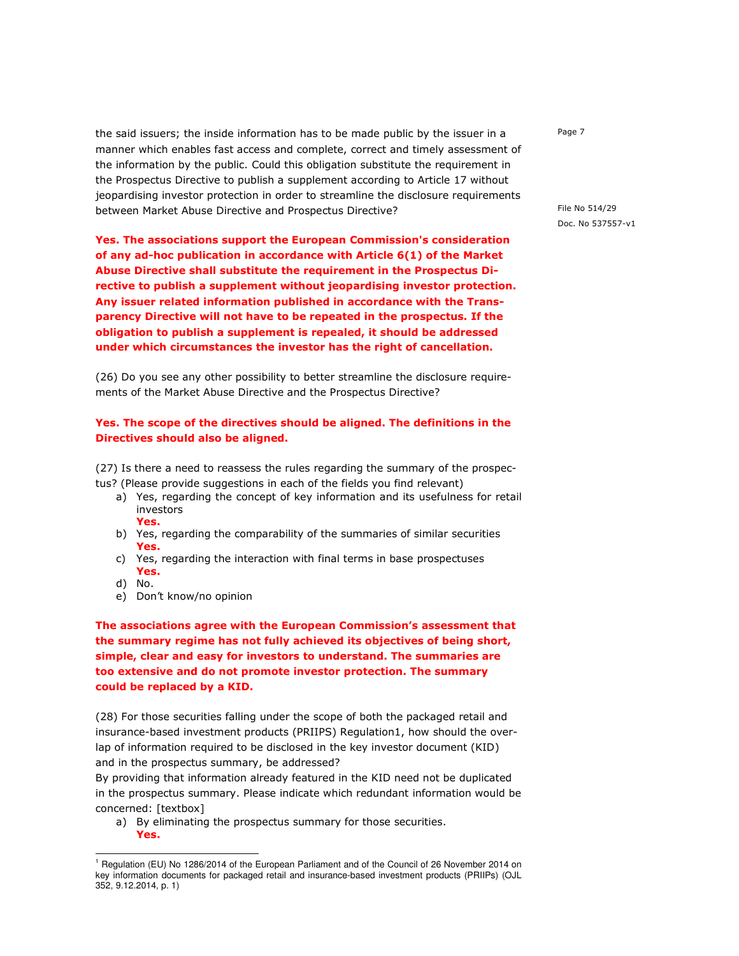the said issuers; the inside information has to be made public by the issuer in a manner which enables fast access and complete, correct and timely assessment of the information by the public. Could this obligation substitute the requirement in the Prospectus Directive to publish a supplement according to Article 17 without jeopardising investor protection in order to streamline the disclosure requirements between Market Abuse Directive and Prospectus Directive?

Yes. The associations support the European Commission's consideration of any ad-hoc publication in accordance with Article 6(1) of the Market Abuse Directive shall substitute the requirement in the Prospectus Directive to publish a supplement without jeopardising investor protection. Any issuer related information published in accordance with the Transparency Directive will not have to be repeated in the prospectus. If the obligation to publish a supplement is repealed, it should be addressed under which circumstances the investor has the right of cancellation.

(26) Do you see any other possibility to better streamline the disclosure requirements of the Market Abuse Directive and the Prospectus Directive?

### Yes. The scope of the directives should be aligned. The definitions in the Directives should also be aligned.

(27) Is there a need to reassess the rules regarding the summary of the prospectus? (Please provide suggestions in each of the fields you find relevant)

- a) Yes, regarding the concept of key information and its usefulness for retail investors Yes.
- b) Yes, regarding the comparability of the summaries of similar securities Yes.
- c) Yes, regarding the interaction with final terms in base prospectuses Yes.
- d) No.

j

e) Don't know/no opinion

The associations agree with the European Commission's assessment that the summary regime has not fully achieved its objectives of being short, simple, clear and easy for investors to understand. The summaries are too extensive and do not promote investor protection. The summary could be replaced by a KID.

(28) For those securities falling under the scope of both the packaged retail and insurance-based investment products (PRIIPS) Regulation1, how should the overlap of information required to be disclosed in the key investor document (KID) and in the prospectus summary, be addressed?

By providing that information already featured in the KID need not be duplicated in the prospectus summary. Please indicate which redundant information would be concerned: [textbox]

a) By eliminating the prospectus summary for those securities. Yes.

Page 7

<sup>&</sup>lt;sup>1</sup> Regulation (EU) No 1286/2014 of the European Parliament and of the Council of 26 November 2014 on key information documents for packaged retail and insurance-based investment products (PRIIPs) (OJL 352, 9.12.2014, p. 1)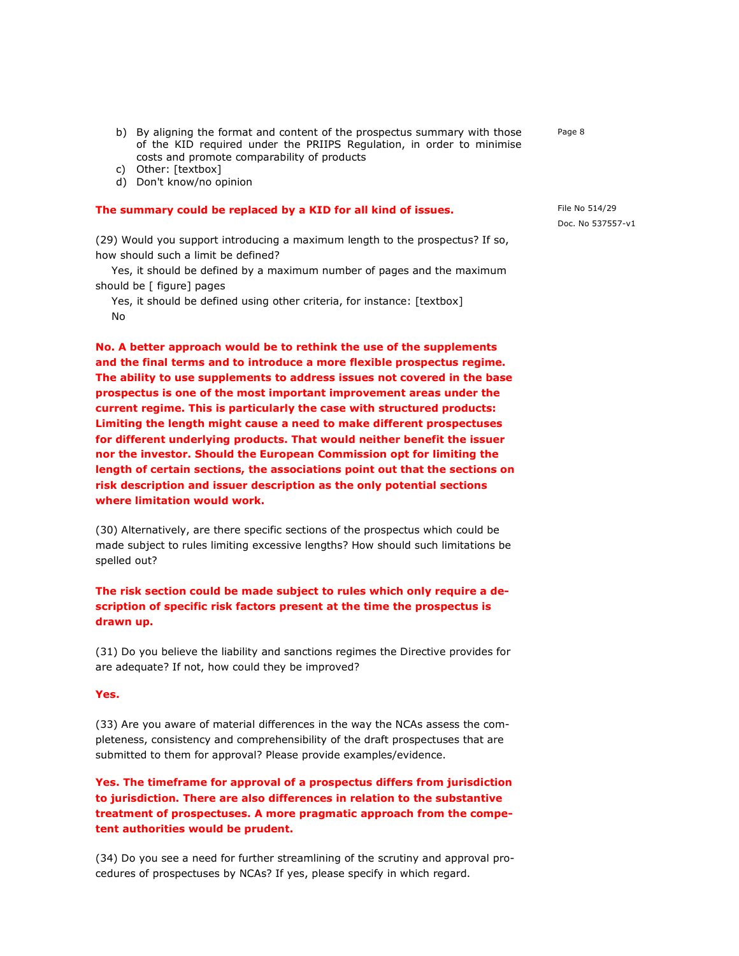- b) By aligning the format and content of the prospectus summary with those of the KID required under the PRIIPS Regulation, in order to minimise costs and promote comparability of products
- c) Other: [textbox]
- d) Don't know/no opinion

#### The summary could be replaced by a KID for all kind of issues.

(29) Would you support introducing a maximum length to the prospectus? If so, how should such a limit be defined?

 Yes, it should be defined by a maximum number of pages and the maximum should be [ figure] pages

 Yes, it should be defined using other criteria, for instance: [textbox] No

No. A better approach would be to rethink the use of the supplements and the final terms and to introduce a more flexible prospectus regime. The ability to use supplements to address issues not covered in the base prospectus is one of the most important improvement areas under the current regime. This is particularly the case with structured products: Limiting the length might cause a need to make different prospectuses for different underlying products. That would neither benefit the issuer nor the investor. Should the European Commission opt for limiting the length of certain sections, the associations point out that the sections on risk description and issuer description as the only potential sections where limitation would work.

(30) Alternatively, are there specific sections of the prospectus which could be made subject to rules limiting excessive lengths? How should such limitations be spelled out?

The risk section could be made subject to rules which only require a description of specific risk factors present at the time the prospectus is drawn up.

(31) Do you believe the liability and sanctions regimes the Directive provides for are adequate? If not, how could they be improved?

### Yes.

(33) Are you aware of material differences in the way the NCAs assess the completeness, consistency and comprehensibility of the draft prospectuses that are submitted to them for approval? Please provide examples/evidence.

Yes. The timeframe for approval of a prospectus differs from jurisdiction to jurisdiction. There are also differences in relation to the substantive treatment of prospectuses. A more pragmatic approach from the competent authorities would be prudent.

(34) Do you see a need for further streamlining of the scrutiny and approval procedures of prospectuses by NCAs? If yes, please specify in which regard.

Page 8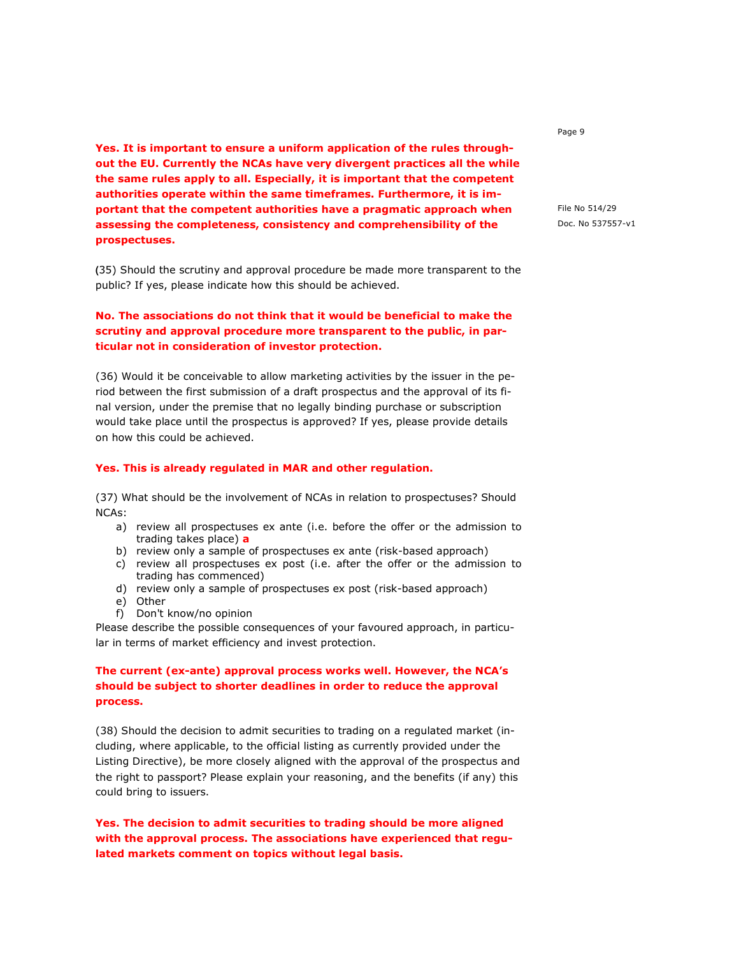Yes. It is important to ensure a uniform application of the rules throughout the EU. Currently the NCAs have very divergent practices all the while the same rules apply to all. Especially, it is important that the competent authorities operate within the same timeframes. Furthermore, it is important that the competent authorities have a pragmatic approach when assessing the completeness, consistency and comprehensibility of the prospectuses.

**(**35) Should the scrutiny and approval procedure be made more transparent to the public? If yes, please indicate how this should be achieved.

# No. The associations do not think that it would be beneficial to make the scrutiny and approval procedure more transparent to the public, in particular not in consideration of investor protection.

(36) Would it be conceivable to allow marketing activities by the issuer in the period between the first submission of a draft prospectus and the approval of its final version, under the premise that no legally binding purchase or subscription would take place until the prospectus is approved? If yes, please provide details on how this could be achieved.

### Yes. This is already regulated in MAR and other regulation.

(37) What should be the involvement of NCAs in relation to prospectuses? Should NCAs:

- a) review all prospectuses ex ante (i.e. before the offer or the admission to trading takes place) a
- b) review only a sample of prospectuses ex ante (risk-based approach)
- c) review all prospectuses ex post (i.e. after the offer or the admission to trading has commenced)
- d) review only a sample of prospectuses ex post (risk-based approach)
- e) Other
- f) Don't know/no opinion

Please describe the possible consequences of your favoured approach, in particular in terms of market efficiency and invest protection.

# The current (ex-ante) approval process works well. However, the NCA's should be subject to shorter deadlines in order to reduce the approval process.

(38) Should the decision to admit securities to trading on a regulated market (including, where applicable, to the official listing as currently provided under the Listing Directive), be more closely aligned with the approval of the prospectus and the right to passport? Please explain your reasoning, and the benefits (if any) this could bring to issuers.

Yes. The decision to admit securities to trading should be more aligned with the approval process. The associations have experienced that regulated markets comment on topics without legal basis.

Page 9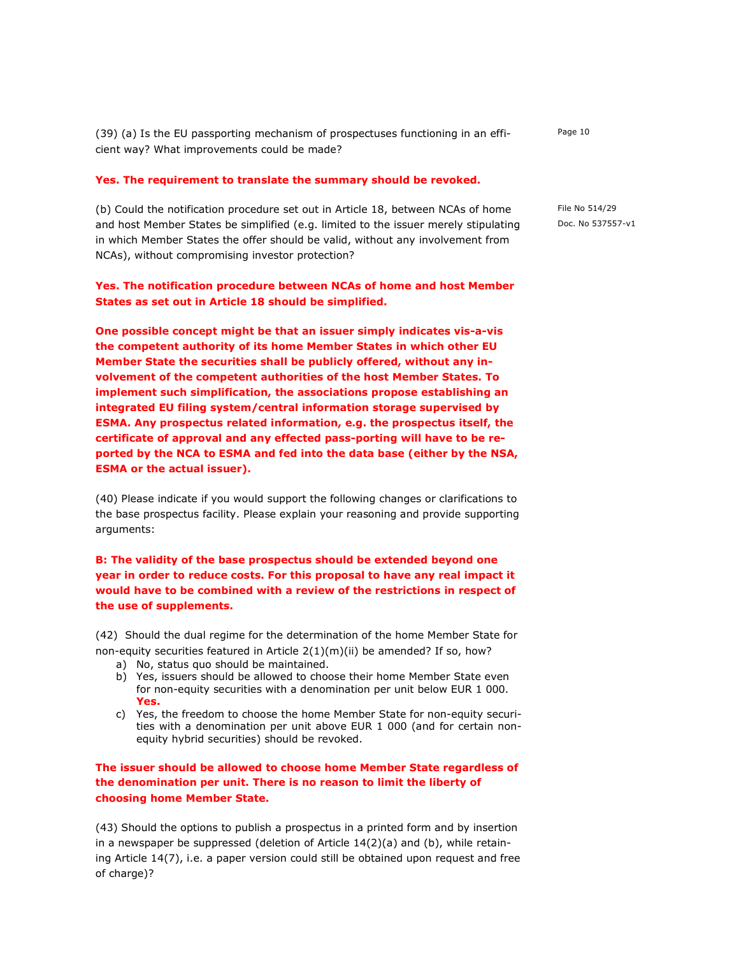(39) (a) Is the EU passporting mechanism of prospectuses functioning in an efficient way? What improvements could be made?

#### Yes. The requirement to translate the summary should be revoked.

(b) Could the notification procedure set out in Article 18, between NCAs of home and host Member States be simplified (e.g. limited to the issuer merely stipulating in which Member States the offer should be valid, without any involvement from NCAs), without compromising investor protection?

### Yes. The notification procedure between NCAs of home and host Member States as set out in Article 18 should be simplified.

One possible concept might be that an issuer simply indicates vis-a-vis the competent authority of its home Member States in which other EU Member State the securities shall be publicly offered, without any involvement of the competent authorities of the host Member States. To implement such simplification, the associations propose establishing an integrated EU filing system/central information storage supervised by ESMA. Any prospectus related information, e.g. the prospectus itself, the certificate of approval and any effected pass-porting will have to be reported by the NCA to ESMA and fed into the data base (either by the NSA, ESMA or the actual issuer).

(40) Please indicate if you would support the following changes or clarifications to the base prospectus facility. Please explain your reasoning and provide supporting arguments:

B: The validity of the base prospectus should be extended beyond one year in order to reduce costs. For this proposal to have any real impact it would have to be combined with a review of the restrictions in respect of the use of supplements.

(42) Should the dual regime for the determination of the home Member State for non-equity securities featured in Article 2(1)(m)(ii) be amended? If so, how?

- a) No, status quo should be maintained.
- b) Yes, issuers should be allowed to choose their home Member State even for non-equity securities with a denomination per unit below EUR 1 000. Yes.
- c) Yes, the freedom to choose the home Member State for non-equity securities with a denomination per unit above EUR 1 000 (and for certain nonequity hybrid securities) should be revoked.

The issuer should be allowed to choose home Member State regardless of the denomination per unit. There is no reason to limit the liberty of choosing home Member State.

(43) Should the options to publish a prospectus in a printed form and by insertion in a newspaper be suppressed (deletion of Article 14(2)(a) and (b), while retaining Article 14(7), i.e. a paper version could still be obtained upon request and free of charge)?

Page 10